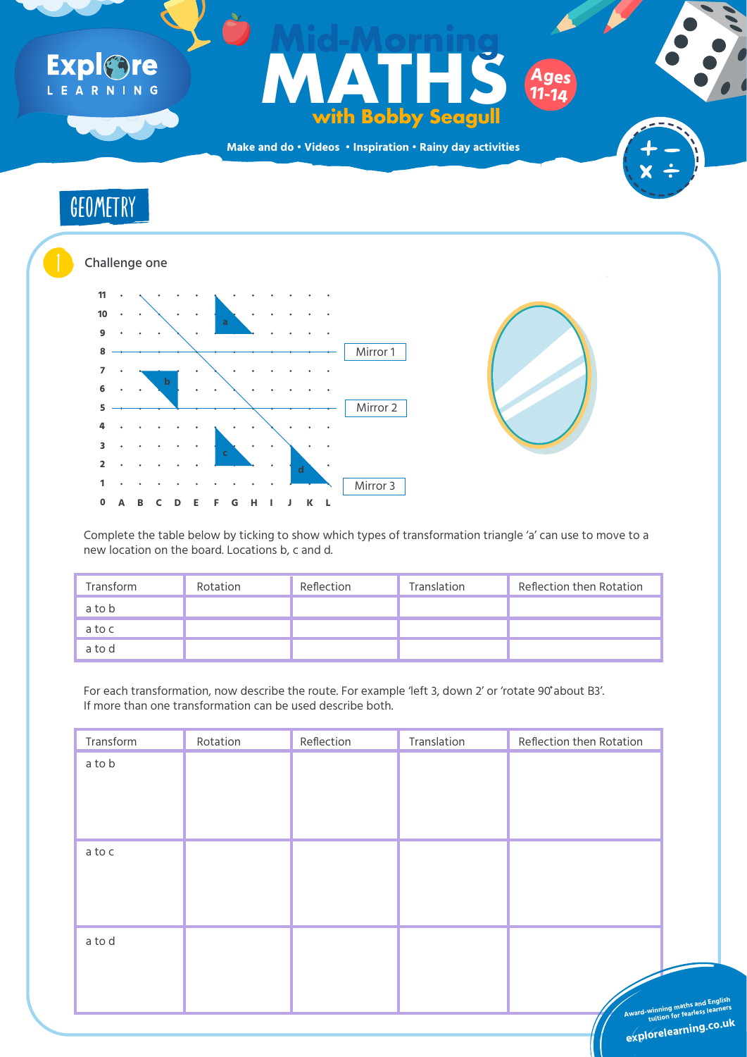| Transform | Rotation | Reflection | Translation | <b>Reflection then Rotation</b> |  |  |  |  |  |
|-----------|----------|------------|-------------|---------------------------------|--|--|--|--|--|
| a to b    |          |            |             |                                 |  |  |  |  |  |
|           |          |            |             |                                 |  |  |  |  |  |
|           |          |            |             |                                 |  |  |  |  |  |

For each transformation, now describe the route. For example 'left 3, down 2' or 'rotate 90 about B3'. If more than one transformation can be used describe both.

Complete the table below by ticking to show which types of transformation triangle 'a' can use to move to a

#### new location on the board. Locations b, c and d.



## Expl&re LEARNING

## Ages<br>
With Bobby Seagull<br>
ddo · Videos · Inspiration · Rainy day activities **MATHS with Bobby Seagull Mid-Morning Ages 11-14**



**Make and do • Videos • Inspiration • Rainy day activities**







| Transform | Rotation | Reflection | Translation | Reflection then Rotation |  |  |  |  |  |
|-----------|----------|------------|-------------|--------------------------|--|--|--|--|--|
| a to b    |          |            |             |                          |  |  |  |  |  |
| a to c    |          |            |             |                          |  |  |  |  |  |
| a to d    |          |            |             |                          |  |  |  |  |  |